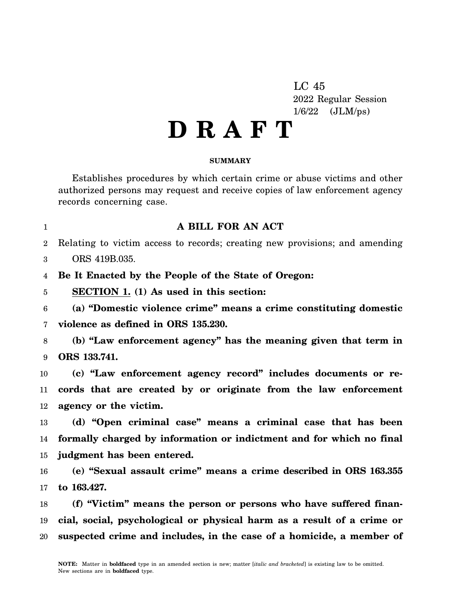LC 45 2022 Regular Session 1/6/22 (JLM/ps)

## **D R A F T**

## **SUMMARY**

Establishes procedures by which certain crime or abuse victims and other authorized persons may request and receive copies of law enforcement agency records concerning case.

1

## **A BILL FOR AN ACT**

2 Relating to victim access to records; creating new provisions; and amending

3 ORS 419B.035.

4 **Be It Enacted by the People of the State of Oregon:**

5 **SECTION 1. (1) As used in this section:**

6 7 **(a) "Domestic violence crime" means a crime constituting domestic violence as defined in ORS 135.230.**

8 9 **(b) "Law enforcement agency" has the meaning given that term in ORS 133.741.**

10 11 12 **(c) "Law enforcement agency record" includes documents or records that are created by or originate from the law enforcement agency or the victim.**

13 14 15 **(d) "Open criminal case" means a criminal case that has been formally charged by information or indictment and for which no final judgment has been entered.**

16 17 **(e) "Sexual assault crime" means a crime described in ORS 163.355 to 163.427.**

18 19 20 **(f) "Victim" means the person or persons who have suffered financial, social, psychological or physical harm as a result of a crime or suspected crime and includes, in the case of a homicide, a member of**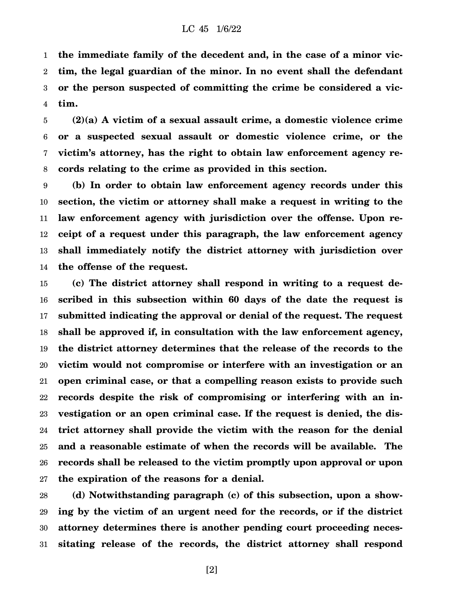1 2 3 4 **the immediate family of the decedent and, in the case of a minor victim, the legal guardian of the minor. In no event shall the defendant or the person suspected of committing the crime be considered a victim.**

5 6 7 8 **(2)(a) A victim of a sexual assault crime, a domestic violence crime or a suspected sexual assault or domestic violence crime, or the victim's attorney, has the right to obtain law enforcement agency records relating to the crime as provided in this section.**

9 10 11 12 13 14 **(b) In order to obtain law enforcement agency records under this section, the victim or attorney shall make a request in writing to the law enforcement agency with jurisdiction over the offense. Upon receipt of a request under this paragraph, the law enforcement agency shall immediately notify the district attorney with jurisdiction over the offense of the request.**

15 16 17 18 19 20 21 22 23 24 25 26 27 **(c) The district attorney shall respond in writing to a request described in this subsection within 60 days of the date the request is submitted indicating the approval or denial of the request. The request shall be approved if, in consultation with the law enforcement agency, the district attorney determines that the release of the records to the victim would not compromise or interfere with an investigation or an open criminal case, or that a compelling reason exists to provide such records despite the risk of compromising or interfering with an investigation or an open criminal case. If the request is denied, the district attorney shall provide the victim with the reason for the denial and a reasonable estimate of when the records will be available. The records shall be released to the victim promptly upon approval or upon the expiration of the reasons for a denial.**

28 29 30 31 **(d) Notwithstanding paragraph (c) of this subsection, upon a showing by the victim of an urgent need for the records, or if the district attorney determines there is another pending court proceeding necessitating release of the records, the district attorney shall respond**

[2]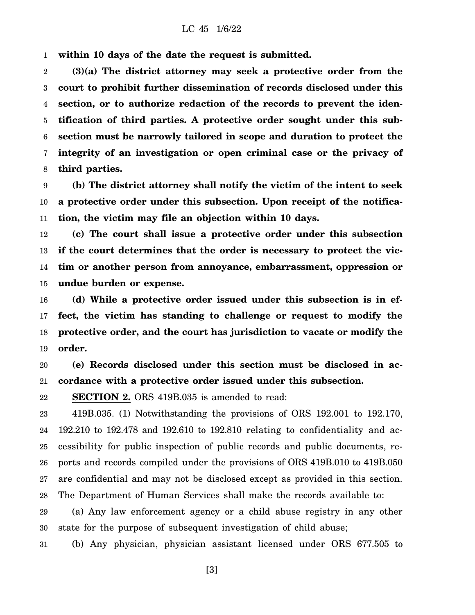1 **within 10 days of the date the request is submitted.**

2 3 4 5 6 7 8 **(3)(a) The district attorney may seek a protective order from the court to prohibit further dissemination of records disclosed under this section, or to authorize redaction of the records to prevent the identification of third parties. A protective order sought under this subsection must be narrowly tailored in scope and duration to protect the integrity of an investigation or open criminal case or the privacy of third parties.**

9 10 11 **(b) The district attorney shall notify the victim of the intent to seek a protective order under this subsection. Upon receipt of the notification, the victim may file an objection within 10 days.**

12 13 14 15 **(c) The court shall issue a protective order under this subsection if the court determines that the order is necessary to protect the victim or another person from annoyance, embarrassment, oppression or undue burden or expense.**

16 17 18 19 **(d) While a protective order issued under this subsection is in effect, the victim has standing to challenge or request to modify the protective order, and the court has jurisdiction to vacate or modify the order.**

20 21 **(e) Records disclosed under this section must be disclosed in accordance with a protective order issued under this subsection.**

22 **SECTION 2.** ORS 419B.035 is amended to read:

23 24 25 26 27 28 419B.035. (1) Notwithstanding the provisions of ORS 192.001 to 192.170, 192.210 to 192.478 and 192.610 to 192.810 relating to confidentiality and accessibility for public inspection of public records and public documents, reports and records compiled under the provisions of ORS 419B.010 to 419B.050 are confidential and may not be disclosed except as provided in this section. The Department of Human Services shall make the records available to:

29 30 (a) Any law enforcement agency or a child abuse registry in any other state for the purpose of subsequent investigation of child abuse;

31 (b) Any physician, physician assistant licensed under ORS 677.505 to

[3]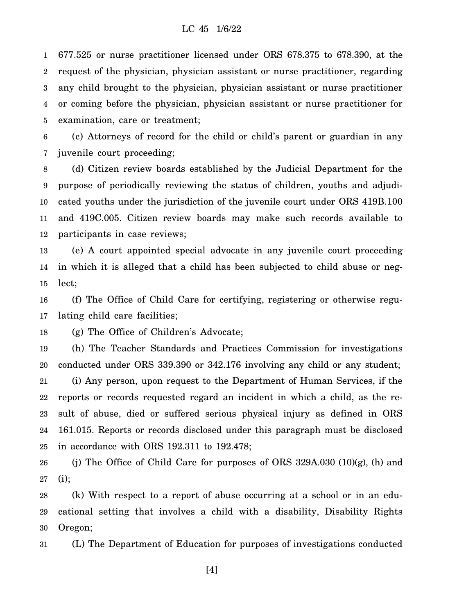1 2 3 4 5 677.525 or nurse practitioner licensed under ORS 678.375 to 678.390, at the request of the physician, physician assistant or nurse practitioner, regarding any child brought to the physician, physician assistant or nurse practitioner or coming before the physician, physician assistant or nurse practitioner for examination, care or treatment;

6 7 (c) Attorneys of record for the child or child's parent or guardian in any juvenile court proceeding;

8 9 10 11 12 (d) Citizen review boards established by the Judicial Department for the purpose of periodically reviewing the status of children, youths and adjudicated youths under the jurisdiction of the juvenile court under ORS 419B.100 and 419C.005. Citizen review boards may make such records available to participants in case reviews;

13 14 15 (e) A court appointed special advocate in any juvenile court proceeding in which it is alleged that a child has been subjected to child abuse or neglect;

16 17 (f) The Office of Child Care for certifying, registering or otherwise regulating child care facilities;

18 (g) The Office of Children's Advocate;

19 20 21 22 23 24 25 (h) The Teacher Standards and Practices Commission for investigations conducted under ORS 339.390 or 342.176 involving any child or any student; (i) Any person, upon request to the Department of Human Services, if the reports or records requested regard an incident in which a child, as the result of abuse, died or suffered serious physical injury as defined in ORS 161.015. Reports or records disclosed under this paragraph must be disclosed in accordance with ORS 192.311 to 192.478;

26 27 (j) The Office of Child Care for purposes of ORS 329A.030  $(10)(g)$ , (h) and (i);

28 29 30 (k) With respect to a report of abuse occurring at a school or in an educational setting that involves a child with a disability, Disability Rights Oregon;

31 (L) The Department of Education for purposes of investigations conducted

[4]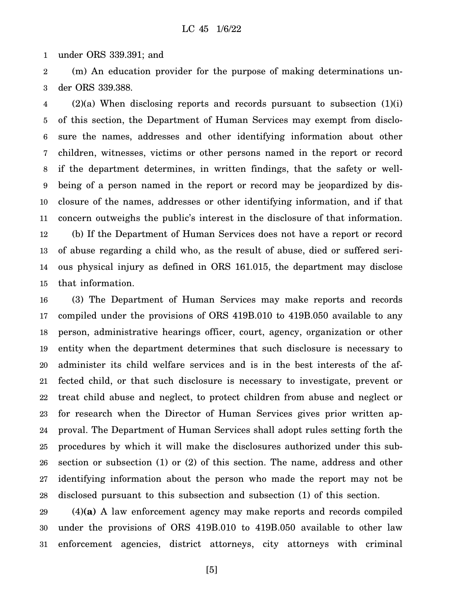1 under ORS 339.391; and

2 3 (m) An education provider for the purpose of making determinations under ORS 339.388.

4 5 6 7 8 9 10 11 12 13 14 15  $(2)(a)$  When disclosing reports and records pursuant to subsection  $(1)(i)$ of this section, the Department of Human Services may exempt from disclosure the names, addresses and other identifying information about other children, witnesses, victims or other persons named in the report or record if the department determines, in written findings, that the safety or wellbeing of a person named in the report or record may be jeopardized by disclosure of the names, addresses or other identifying information, and if that concern outweighs the public's interest in the disclosure of that information. (b) If the Department of Human Services does not have a report or record of abuse regarding a child who, as the result of abuse, died or suffered serious physical injury as defined in ORS 161.015, the department may disclose that information.

16 17 18 19 20 21 22 23 24 25 26 27 28 (3) The Department of Human Services may make reports and records compiled under the provisions of ORS 419B.010 to 419B.050 available to any person, administrative hearings officer, court, agency, organization or other entity when the department determines that such disclosure is necessary to administer its child welfare services and is in the best interests of the affected child, or that such disclosure is necessary to investigate, prevent or treat child abuse and neglect, to protect children from abuse and neglect or for research when the Director of Human Services gives prior written approval. The Department of Human Services shall adopt rules setting forth the procedures by which it will make the disclosures authorized under this subsection or subsection (1) or (2) of this section. The name, address and other identifying information about the person who made the report may not be disclosed pursuant to this subsection and subsection (1) of this section.

29 30 31 (4)**(a)** A law enforcement agency may make reports and records compiled under the provisions of ORS 419B.010 to 419B.050 available to other law enforcement agencies, district attorneys, city attorneys with criminal

[5]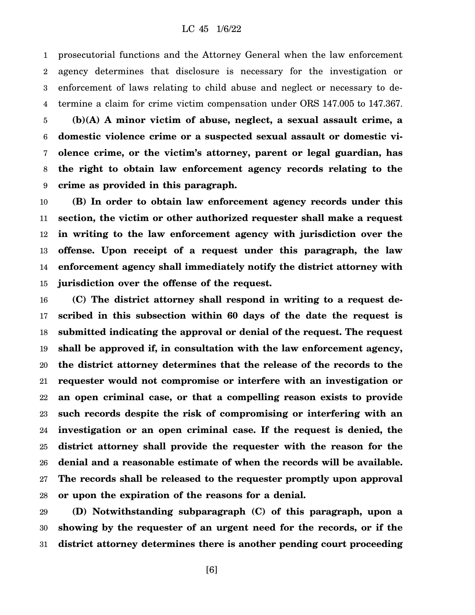1 2 3 4 prosecutorial functions and the Attorney General when the law enforcement agency determines that disclosure is necessary for the investigation or enforcement of laws relating to child abuse and neglect or necessary to determine a claim for crime victim compensation under ORS 147.005 to 147.367.

5 6 7 8 9 **(b)(A) A minor victim of abuse, neglect, a sexual assault crime, a domestic violence crime or a suspected sexual assault or domestic violence crime, or the victim's attorney, parent or legal guardian, has the right to obtain law enforcement agency records relating to the crime as provided in this paragraph.**

10 11 12 13 14 15 **(B) In order to obtain law enforcement agency records under this section, the victim or other authorized requester shall make a request in writing to the law enforcement agency with jurisdiction over the offense. Upon receipt of a request under this paragraph, the law enforcement agency shall immediately notify the district attorney with jurisdiction over the offense of the request.**

16 17 18 19 20 21 22 23 24 25 26 27 28 **(C) The district attorney shall respond in writing to a request described in this subsection within 60 days of the date the request is submitted indicating the approval or denial of the request. The request shall be approved if, in consultation with the law enforcement agency, the district attorney determines that the release of the records to the requester would not compromise or interfere with an investigation or an open criminal case, or that a compelling reason exists to provide such records despite the risk of compromising or interfering with an investigation or an open criminal case. If the request is denied, the district attorney shall provide the requester with the reason for the denial and a reasonable estimate of when the records will be available. The records shall be released to the requester promptly upon approval or upon the expiration of the reasons for a denial.**

29 30 31 **(D) Notwithstanding subparagraph (C) of this paragraph, upon a showing by the requester of an urgent need for the records, or if the district attorney determines there is another pending court proceeding**

[6]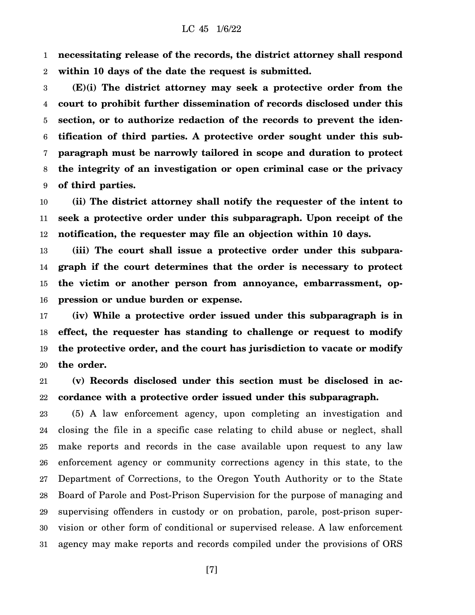1 2 **necessitating release of the records, the district attorney shall respond within 10 days of the date the request is submitted.**

3 4 5 6 7 8 9 **(E)(i) The district attorney may seek a protective order from the court to prohibit further dissemination of records disclosed under this section, or to authorize redaction of the records to prevent the identification of third parties. A protective order sought under this subparagraph must be narrowly tailored in scope and duration to protect the integrity of an investigation or open criminal case or the privacy of third parties.**

10 11 12 **(ii) The district attorney shall notify the requester of the intent to seek a protective order under this subparagraph. Upon receipt of the notification, the requester may file an objection within 10 days.**

13 14 15 16 **(iii) The court shall issue a protective order under this subparagraph if the court determines that the order is necessary to protect the victim or another person from annoyance, embarrassment, oppression or undue burden or expense.**

17 18 19 20 **(iv) While a protective order issued under this subparagraph is in effect, the requester has standing to challenge or request to modify the protective order, and the court has jurisdiction to vacate or modify the order.**

21 22 **(v) Records disclosed under this section must be disclosed in accordance with a protective order issued under this subparagraph.**

23 24 25 26 27 28 29 30 31 (5) A law enforcement agency, upon completing an investigation and closing the file in a specific case relating to child abuse or neglect, shall make reports and records in the case available upon request to any law enforcement agency or community corrections agency in this state, to the Department of Corrections, to the Oregon Youth Authority or to the State Board of Parole and Post-Prison Supervision for the purpose of managing and supervising offenders in custody or on probation, parole, post-prison supervision or other form of conditional or supervised release. A law enforcement agency may make reports and records compiled under the provisions of ORS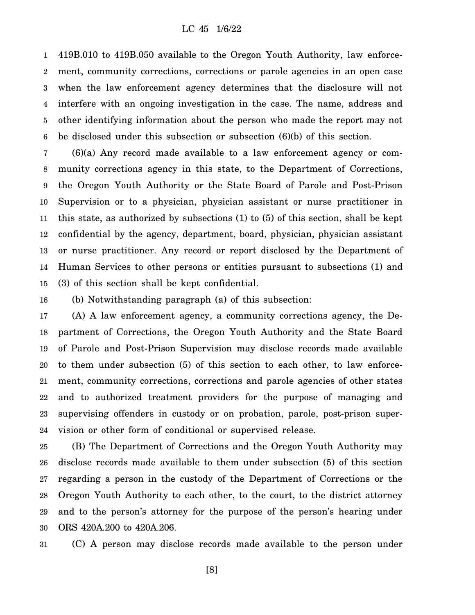1 2 3 4 5 6 419B.010 to 419B.050 available to the Oregon Youth Authority, law enforcement, community corrections, corrections or parole agencies in an open case when the law enforcement agency determines that the disclosure will not interfere with an ongoing investigation in the case. The name, address and other identifying information about the person who made the report may not be disclosed under this subsection or subsection (6)(b) of this section.

7 8 9 10 11 12 13 14 15 (6)(a) Any record made available to a law enforcement agency or community corrections agency in this state, to the Department of Corrections, the Oregon Youth Authority or the State Board of Parole and Post-Prison Supervision or to a physician, physician assistant or nurse practitioner in this state, as authorized by subsections (1) to (5) of this section, shall be kept confidential by the agency, department, board, physician, physician assistant or nurse practitioner. Any record or report disclosed by the Department of Human Services to other persons or entities pursuant to subsections (1) and (3) of this section shall be kept confidential.

16 (b) Notwithstanding paragraph (a) of this subsection:

17 18 19 20 21 22 23 24 (A) A law enforcement agency, a community corrections agency, the Department of Corrections, the Oregon Youth Authority and the State Board of Parole and Post-Prison Supervision may disclose records made available to them under subsection (5) of this section to each other, to law enforcement, community corrections, corrections and parole agencies of other states and to authorized treatment providers for the purpose of managing and supervising offenders in custody or on probation, parole, post-prison supervision or other form of conditional or supervised release.

25 26 27 28 29 30 (B) The Department of Corrections and the Oregon Youth Authority may disclose records made available to them under subsection (5) of this section regarding a person in the custody of the Department of Corrections or the Oregon Youth Authority to each other, to the court, to the district attorney and to the person's attorney for the purpose of the person's hearing under ORS 420A.200 to 420A.206.

31 (C) A person may disclose records made available to the person under

[8]